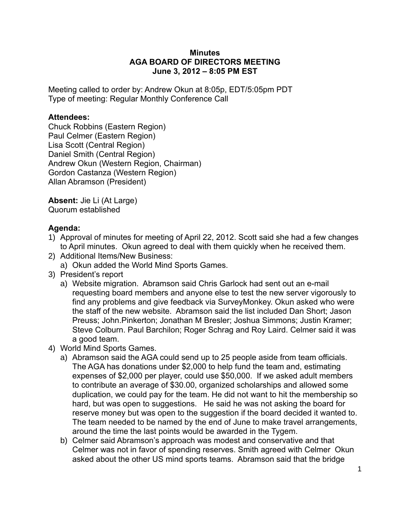## **Minutes AGA BOARD OF DIRECTORS MEETING June 3, 2012 – 8:05 PM EST**

Meeting called to order by: Andrew Okun at 8:05p, EDT/5:05pm PDT Type of meeting: Regular Monthly Conference Call

## **Attendees:**

Chuck Robbins (Eastern Region) Paul Celmer (Eastern Region) Lisa Scott (Central Region) Daniel Smith (Central Region) Andrew Okun (Western Region, Chairman) Gordon Castanza (Western Region) Allan Abramson (President)

**Absent:** Jie Li (At Large) Quorum established

## **Agenda:**

- 1) Approval of minutes for meeting of April 22, 2012. Scott said she had a few changes to April minutes. Okun agreed to deal with them quickly when he received them.
- 2) Additional Items/New Business:
	- a) Okun added the World Mind Sports Games.
- 3) President's report
	- a) Website migration. Abramson said Chris Garlock had sent out an e-mail requesting board members and anyone else to test the new server vigorously to find any problems and give feedback via SurveyMonkey. Okun asked who were the staff of the new website. Abramson said the list included Dan Short; Jason Preuss; John.Pinkerton; Jonathan M Bresler; Joshua Simmons; Justin Kramer; Steve Colburn. Paul Barchilon; Roger Schrag and Roy Laird. Celmer said it was a good team.
- 4) World Mind Sports Games.
	- a) Abramson said the AGA could send up to 25 people aside from team officials. The AGA has donations under \$2,000 to help fund the team and, estimating expenses of \$2,000 per player, could use \$50,000. If we asked adult members to contribute an average of \$30.00, organized scholarships and allowed some duplication, we could pay for the team. He did not want to hit the membership so hard, but was open to suggestions. He said he was not asking the board for reserve money but was open to the suggestion if the board decided it wanted to. The team needed to be named by the end of June to make travel arrangements, around the time the last points would be awarded in the Tygem.
	- b) Celmer said Abramson's approach was modest and conservative and that Celmer was not in favor of spending reserves. Smith agreed with Celmer Okun asked about the other US mind sports teams. Abramson said that the bridge